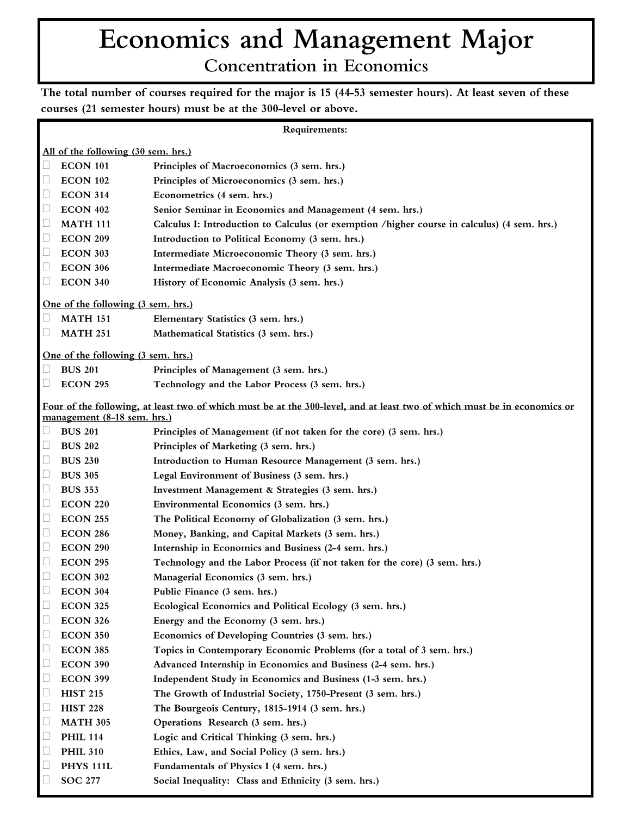## Economics and Management Major **Concentration in Economics**

The total number of courses required for the major is 15 (44-53 semester hours). At least seven of these courses (21 semester hours) must be at the 300-level or above.

| Requirements:                                                                                                                                           |                                    |                                                                                              |
|---------------------------------------------------------------------------------------------------------------------------------------------------------|------------------------------------|----------------------------------------------------------------------------------------------|
| All of the following (30 sem. hrs.)                                                                                                                     |                                    |                                                                                              |
| $\Box$                                                                                                                                                  | <b>ECON 101</b>                    | Principles of Macroeconomics (3 sem. hrs.)                                                   |
| L                                                                                                                                                       | <b>ECON 102</b>                    | Principles of Microeconomics (3 sem. hrs.)                                                   |
| Ц                                                                                                                                                       | <b>ECON 314</b>                    | Econometrics (4 sem. hrs.)                                                                   |
| $\Box$                                                                                                                                                  | <b>ECON 402</b>                    | Senior Seminar in Economics and Management (4 sem. hrs.)                                     |
| $\Box$                                                                                                                                                  | <b>MATH 111</b>                    | Calculus I: Introduction to Calculus (or exemption /higher course in calculus) (4 sem. hrs.) |
| $\Box$                                                                                                                                                  | <b>ECON 209</b>                    | Introduction to Political Economy (3 sem. hrs.)                                              |
| $\Box$                                                                                                                                                  | <b>ECON 303</b>                    | Intermediate Microeconomic Theory (3 sem. hrs.)                                              |
| $\Box$                                                                                                                                                  | <b>ECON 306</b>                    | Intermediate Macroeconomic Theory (3 sem. hrs.)                                              |
| $\Box$                                                                                                                                                  | <b>ECON 340</b>                    | History of Economic Analysis (3 sem. hrs.)                                                   |
| One of the following (3 sem. hrs.)                                                                                                                      |                                    |                                                                                              |
| Ш                                                                                                                                                       | <b>MATH 151</b>                    | Elementary Statistics (3 sem. hrs.)                                                          |
| $\Box$                                                                                                                                                  | <b>MATH 251</b>                    | Mathematical Statistics (3 sem. hrs.)                                                        |
|                                                                                                                                                         |                                    |                                                                                              |
|                                                                                                                                                         | One of the following (3 sem. hrs.) |                                                                                              |
|                                                                                                                                                         | <b>BUS 201</b>                     | Principles of Management (3 sem. hrs.)                                                       |
| $\Box$                                                                                                                                                  | <b>ECON 295</b>                    | Technology and the Labor Process (3 sem. hrs.)                                               |
| Four of the following, at least two of which must be at the 300-level, and at least two of which must be in economics or<br>management (8-18 sem. hrs.) |                                    |                                                                                              |
| $\Box$                                                                                                                                                  | <b>BUS 201</b>                     | Principles of Management (if not taken for the core) (3 sem. hrs.)                           |
| Ц                                                                                                                                                       | <b>BUS 202</b>                     | Principles of Marketing (3 sem. hrs.)                                                        |
| $\Box$                                                                                                                                                  | <b>BUS 230</b>                     | Introduction to Human Resource Management (3 sem. hrs.)                                      |
| $\Box$                                                                                                                                                  | <b>BUS 305</b>                     | Legal Environment of Business (3 sem. hrs.)                                                  |
| $\Box$                                                                                                                                                  | <b>BUS 353</b>                     | Investment Management & Strategies (3 sem. hrs.)                                             |
| $\Box$                                                                                                                                                  | <b>ECON 220</b>                    | Environmental Economics (3 sem. hrs.)                                                        |
| $\Box$                                                                                                                                                  | <b>ECON 255</b>                    | The Political Economy of Globalization (3 sem. hrs.)                                         |
| $\Box$                                                                                                                                                  | <b>ECON 286</b>                    | Money, Banking, and Capital Markets (3 sem. hrs.)                                            |
| Ц                                                                                                                                                       | <b>ECON 290</b>                    | Internship in Economics and Business (2-4 sem. hrs.)                                         |
| $\Box$                                                                                                                                                  | <b>ECON 295</b>                    | Technology and the Labor Process (if not taken for the core) (3 sem. hrs.)                   |
| □                                                                                                                                                       | <b>ECON 302</b>                    | Managerial Economics (3 sem. hrs.)                                                           |
| $\Box$                                                                                                                                                  | <b>ECON 304</b>                    | Public Finance (3 sem. hrs.)                                                                 |
| $\Box$                                                                                                                                                  | <b>ECON 325</b>                    | Ecological Economics and Political Ecology (3 sem. hrs.)                                     |
| $\Box$                                                                                                                                                  | <b>ECON 326</b>                    | Energy and the Economy (3 sem. hrs.)                                                         |
| $\Box$                                                                                                                                                  | <b>ECON 350</b>                    | Economics of Developing Countries (3 sem. hrs.)                                              |
| Ц                                                                                                                                                       | <b>ECON 385</b>                    | Topics in Contemporary Economic Problems (for a total of 3 sem. hrs.)                        |
| $\Box$                                                                                                                                                  | <b>ECON 390</b>                    | Advanced Internship in Economics and Business (2-4 sem. hrs.)                                |
| $\Box$                                                                                                                                                  | <b>ECON 399</b>                    | Independent Study in Economics and Business (1-3 sem. hrs.)                                  |
| $\Box$                                                                                                                                                  | <b>HIST 215</b>                    | The Growth of Industrial Society, 1750-Present (3 sem. hrs.)                                 |
| $\Box$                                                                                                                                                  | <b>HIST 228</b>                    | The Bourgeois Century, 1815-1914 (3 sem. hrs.)                                               |
| $\Box$                                                                                                                                                  | <b>MATH 305</b>                    | Operations Research (3 sem. hrs.)                                                            |
| $\Box$                                                                                                                                                  | <b>PHIL 114</b>                    | Logic and Critical Thinking (3 sem. hrs.)                                                    |
| $\Box$                                                                                                                                                  | <b>PHIL 310</b>                    | Ethics, Law, and Social Policy (3 sem. hrs.)                                                 |
| $\Box$                                                                                                                                                  | <b>PHYS 111L</b>                   | Fundamentals of Physics I (4 sem. hrs.)                                                      |
|                                                                                                                                                         | <b>SOC 277</b>                     | Social Inequality: Class and Ethnicity (3 sem. hrs.)                                         |